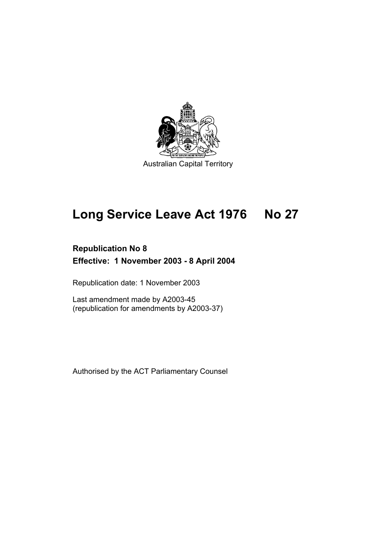

# **Long Service Leave Act 1976 No 27**

# **Republication No 8 Effective: 1 November 2003 - 8 April 2004**

Republication date: 1 November 2003

Last amendment made by A2003-45 (republication for amendments by A2003-37)

Authorised by the ACT Parliamentary Counsel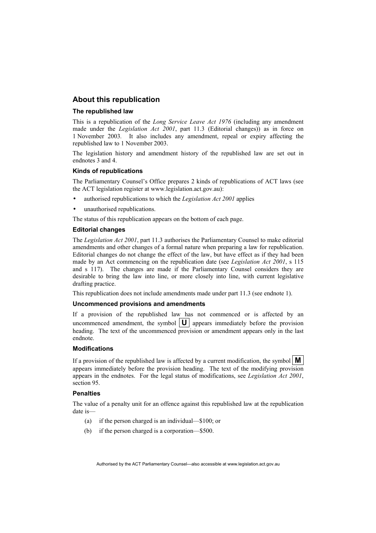#### **About this republication**

#### **The republished law**

This is a republication of the *Long Service Leave Act 1976* (including any amendment made under the *Legislation Act 2001*, part 11.3 (Editorial changes)) as in force on 1 November 2003*.* It also includes any amendment, repeal or expiry affecting the republished law to 1 November 2003.

The legislation history and amendment history of the republished law are set out in endnotes 3 and 4.

#### **Kinds of republications**

The Parliamentary Counsel's Office prepares 2 kinds of republications of ACT laws (see the ACT legislation register at www.legislation.act.gov.au):

- authorised republications to which the *Legislation Act 2001* applies
- unauthorised republications.

The status of this republication appears on the bottom of each page.

#### **Editorial changes**

The *Legislation Act 2001*, part 11.3 authorises the Parliamentary Counsel to make editorial amendments and other changes of a formal nature when preparing a law for republication. Editorial changes do not change the effect of the law, but have effect as if they had been made by an Act commencing on the republication date (see *Legislation Act 2001*, s 115 and s 117). The changes are made if the Parliamentary Counsel considers they are desirable to bring the law into line, or more closely into line, with current legislative drafting practice.

This republication does not include amendments made under part 11.3 (see endnote 1).

#### **Uncommenced provisions and amendments**

If a provision of the republished law has not commenced or is affected by an uncommenced amendment, the symbol  $|\mathbf{U}|$  appears immediately before the provision heading. The text of the uncommenced provision or amendment appears only in the last endnote.

#### **Modifications**

If a provision of the republished law is affected by a current modification, the symbol  $\mathbf{M}$ appears immediately before the provision heading. The text of the modifying provision appears in the endnotes. For the legal status of modifications, see *Legislation Act 2001*, section 95.

#### **Penalties**

The value of a penalty unit for an offence against this republished law at the republication date is—

- (a) if the person charged is an individual—\$100; or
- (b) if the person charged is a corporation—\$500.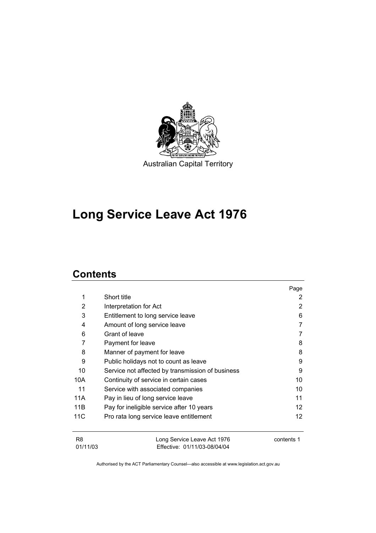

# **Long Service Leave Act 1976**

## **Contents**

|                            |                                                             | Page              |
|----------------------------|-------------------------------------------------------------|-------------------|
| 1                          | Short title                                                 | 2                 |
| 2                          | Interpretation for Act                                      | 2                 |
| 3                          | Entitlement to long service leave                           | 6                 |
| 4                          | Amount of long service leave                                |                   |
| 6                          | Grant of leave                                              |                   |
| 7                          | Payment for leave                                           | 8                 |
| 8                          | Manner of payment for leave                                 | 8                 |
| 9                          | Public holidays not to count as leave                       |                   |
| 10                         | Service not affected by transmission of business            |                   |
| 10A                        | 10<br>Continuity of service in certain cases                |                   |
| 11                         | Service with associated companies                           |                   |
| 11A                        | Pay in lieu of long service leave                           | 11                |
| 11B                        | Pay for ineligible service after 10 years                   | $12 \overline{ }$ |
| 11C                        | Pro rata long service leave entitlement                     | 12                |
| R <sub>8</sub><br>01/11/03 | Long Service Leave Act 1976<br>Effective: 01/11/03-08/04/04 | contents 1        |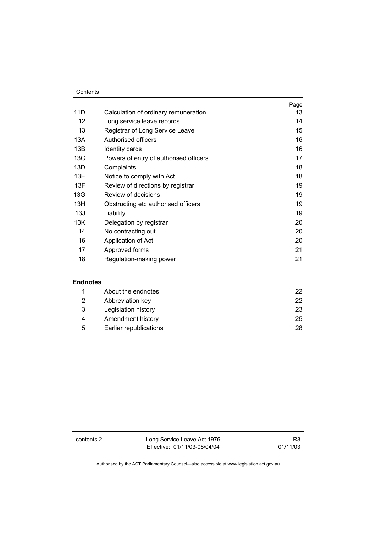#### **Contents**

|                   |                                        | Page |
|-------------------|----------------------------------------|------|
| 11D               | Calculation of ordinary remuneration   | 13   |
| $12 \overline{ }$ | Long service leave records             | 14   |
| 13                | Registrar of Long Service Leave        | 15   |
| 13A               | Authorised officers                    | 16   |
| 13B               | Identity cards                         | 16   |
| 13C               | Powers of entry of authorised officers | 17   |
| 13D               | Complaints                             | 18   |
| 13E               | Notice to comply with Act              | 18   |
| 13F               | Review of directions by registrar      | 19   |
| 13G               | Review of decisions                    | 19   |
| 13H               | Obstructing etc authorised officers    | 19   |
| 13J               | Liability                              | 19   |
| 13K               | Delegation by registrar                | 20   |
| 14                | No contracting out                     | 20   |
| 16                | Application of Act                     | 20   |
| 17                | Approved forms                         | 21   |
| 18                | Regulation-making power                | 21   |

#### **Endnotes**

|   | About the endnotes     |    |
|---|------------------------|----|
| 2 | Abbreviation key       | 22 |
| 3 | Legislation history    | 23 |
| 4 | Amendment history      | 25 |
| 5 | Earlier republications | 28 |

contents 2 Long Service Leave Act 1976 Effective: 01/11/03-08/04/04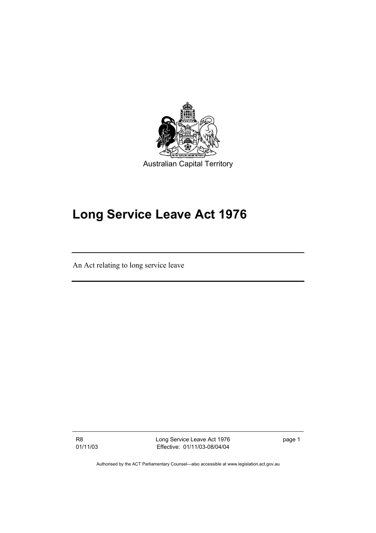

# **Long Service Leave Act 1976**

An Act relating to long service leave

R8 01/11/03 Long Service Leave Act 1976 Effective: 01/11/03-08/04/04

page 1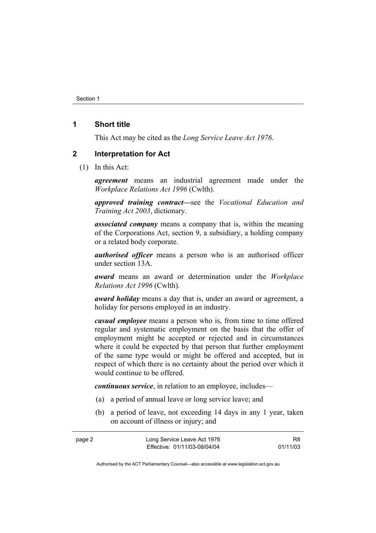#### **1 Short title**

This Act may be cited as the *Long Service Leave Act 1976*.

#### **2 Interpretation for Act**

(1) In this Act:

*agreement* means an industrial agreement made under the *Workplace Relations Act 1996* (Cwlth).

*approved training contract—*see the *Vocational Education and Training Act 2003*, dictionary.

*associated company* means a company that is, within the meaning of the Corporations Act, section 9, a subsidiary, a holding company or a related body corporate.

*authorised officer* means a person who is an authorised officer under section 13A.

*award* means an award or determination under the *Workplace Relations Act 1996* (Cwlth).

*award holiday* means a day that is, under an award or agreement, a holiday for persons employed in an industry.

*casual employee* means a person who is, from time to time offered regular and systematic employment on the basis that the offer of employment might be accepted or rejected and in circumstances where it could be expected by that person that further employment of the same type would or might be offered and accepted, but in respect of which there is no certainty about the period over which it would continue to be offered.

*continuous service*, in relation to an employee, includes—

- (a) a period of annual leave or long service leave; and
- (b) a period of leave, not exceeding 14 days in any 1 year, taken on account of illness or injury; and

| page 2 | Long Service Leave Act 1976  | R8       |
|--------|------------------------------|----------|
|        | Effective: 01/11/03-08/04/04 | 01/11/03 |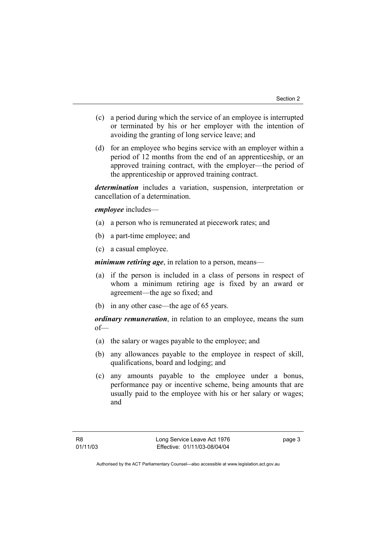- (c) a period during which the service of an employee is interrupted or terminated by his or her employer with the intention of avoiding the granting of long service leave; and
- (d) for an employee who begins service with an employer within a period of 12 months from the end of an apprenticeship, or an approved training contract, with the employer—the period of the apprenticeship or approved training contract.

*determination* includes a variation, suspension, interpretation or cancellation of a determination.

*employee* includes—

- (a) a person who is remunerated at piecework rates; and
- (b) a part-time employee; and
- (c) a casual employee.

*minimum retiring age*, in relation to a person, means—

- (a) if the person is included in a class of persons in respect of whom a minimum retiring age is fixed by an award or agreement—the age so fixed; and
- (b) in any other case—the age of 65 years.

*ordinary remuneration*, in relation to an employee, means the sum of—

- (a) the salary or wages payable to the employee; and
- (b) any allowances payable to the employee in respect of skill, qualifications, board and lodging; and
- (c) any amounts payable to the employee under a bonus, performance pay or incentive scheme, being amounts that are usually paid to the employee with his or her salary or wages; and

page 3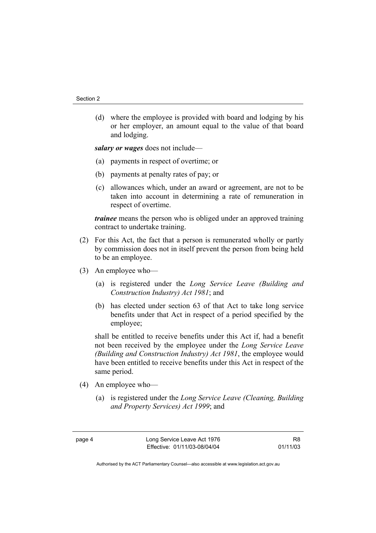(d) where the employee is provided with board and lodging by his or her employer, an amount equal to the value of that board and lodging.

*salary or wages* does not include—

- (a) payments in respect of overtime; or
- (b) payments at penalty rates of pay; or
- (c) allowances which, under an award or agreement, are not to be taken into account in determining a rate of remuneration in respect of overtime.

*trainee* means the person who is obliged under an approved training contract to undertake training.

- (2) For this Act, the fact that a person is remunerated wholly or partly by commission does not in itself prevent the person from being held to be an employee.
- (3) An employee who—
	- (a) is registered under the *Long Service Leave (Building and Construction Industry) Act 1981*; and
	- (b) has elected under section 63 of that Act to take long service benefits under that Act in respect of a period specified by the employee;

shall be entitled to receive benefits under this Act if, had a benefit not been received by the employee under the *Long Service Leave (Building and Construction Industry) Act 1981*, the employee would have been entitled to receive benefits under this Act in respect of the same period.

- (4) An employee who—
	- (a) is registered under the *Long Service Leave (Cleaning, Building and Property Services) Act 1999*; and

R8 01/11/03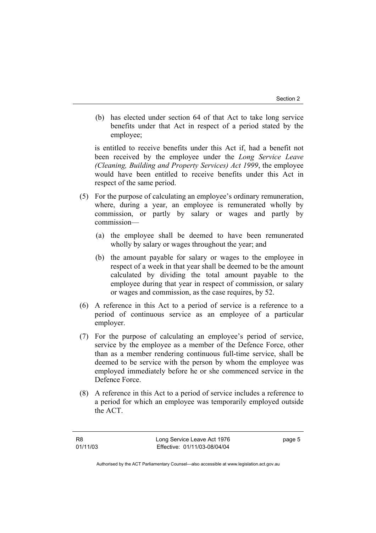(b) has elected under section 64 of that Act to take long service benefits under that Act in respect of a period stated by the employee;

is entitled to receive benefits under this Act if, had a benefit not been received by the employee under the *Long Service Leave (Cleaning, Building and Property Services) Act 1999*, the employee would have been entitled to receive benefits under this Act in respect of the same period.

- (5) For the purpose of calculating an employee's ordinary remuneration, where, during a year, an employee is remunerated wholly by commission, or partly by salary or wages and partly by commission—
	- (a) the employee shall be deemed to have been remunerated wholly by salary or wages throughout the year; and
	- (b) the amount payable for salary or wages to the employee in respect of a week in that year shall be deemed to be the amount calculated by dividing the total amount payable to the employee during that year in respect of commission, or salary or wages and commission, as the case requires, by 52.
- (6) A reference in this Act to a period of service is a reference to a period of continuous service as an employee of a particular employer.
- (7) For the purpose of calculating an employee's period of service, service by the employee as a member of the Defence Force, other than as a member rendering continuous full-time service, shall be deemed to be service with the person by whom the employee was employed immediately before he or she commenced service in the Defence Force.
- (8) A reference in this Act to a period of service includes a reference to a period for which an employee was temporarily employed outside the ACT.

page 5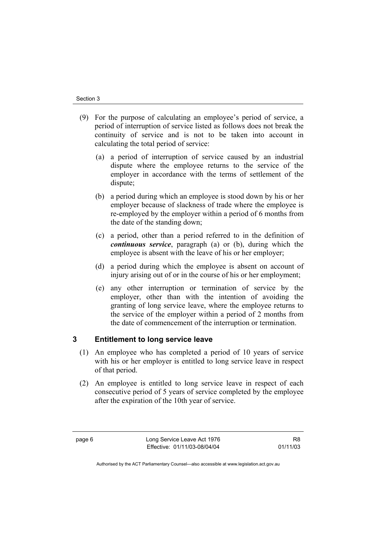- (9) For the purpose of calculating an employee's period of service, a period of interruption of service listed as follows does not break the continuity of service and is not to be taken into account in calculating the total period of service:
	- (a) a period of interruption of service caused by an industrial dispute where the employee returns to the service of the employer in accordance with the terms of settlement of the dispute;
	- (b) a period during which an employee is stood down by his or her employer because of slackness of trade where the employee is re-employed by the employer within a period of 6 months from the date of the standing down;
	- (c) a period, other than a period referred to in the definition of *continuous service*, paragraph (a) or (b), during which the employee is absent with the leave of his or her employer;
	- (d) a period during which the employee is absent on account of injury arising out of or in the course of his or her employment;
	- (e) any other interruption or termination of service by the employer, other than with the intention of avoiding the granting of long service leave, where the employee returns to the service of the employer within a period of 2 months from the date of commencement of the interruption or termination.

### **3 Entitlement to long service leave**

- (1) An employee who has completed a period of 10 years of service with his or her employer is entitled to long service leave in respect of that period.
- (2) An employee is entitled to long service leave in respect of each consecutive period of 5 years of service completed by the employee after the expiration of the 10th year of service.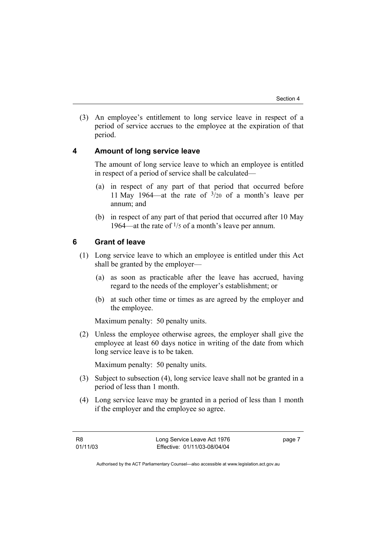(3) An employee's entitlement to long service leave in respect of a period of service accrues to the employee at the expiration of that period.

#### **4 Amount of long service leave**

The amount of long service leave to which an employee is entitled in respect of a period of service shall be calculated—

- (a) in respect of any part of that period that occurred before 11 May 1964—at the rate of  $\frac{3}{20}$  of a month's leave per annum; and
- (b) in respect of any part of that period that occurred after 10 May 1964—at the rate of  $\frac{1}{5}$  of a month's leave per annum.

#### **6 Grant of leave**

- (1) Long service leave to which an employee is entitled under this Act shall be granted by the employer—
	- (a) as soon as practicable after the leave has accrued, having regard to the needs of the employer's establishment; or
	- (b) at such other time or times as are agreed by the employer and the employee.

Maximum penalty: 50 penalty units.

 (2) Unless the employee otherwise agrees, the employer shall give the employee at least 60 days notice in writing of the date from which long service leave is to be taken.

Maximum penalty: 50 penalty units.

- (3) Subject to subsection (4), long service leave shall not be granted in a period of less than 1 month.
- (4) Long service leave may be granted in a period of less than 1 month if the employer and the employee so agree.

page 7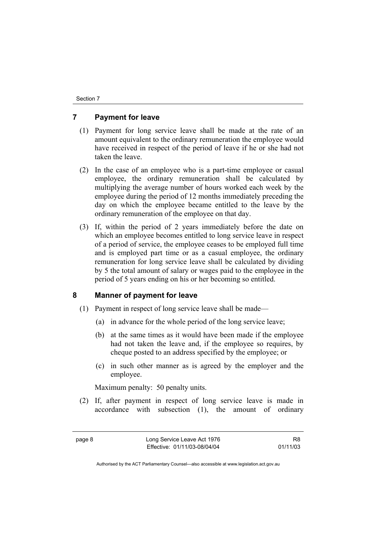#### **7 Payment for leave**

- (1) Payment for long service leave shall be made at the rate of an amount equivalent to the ordinary remuneration the employee would have received in respect of the period of leave if he or she had not taken the leave.
- (2) In the case of an employee who is a part-time employee or casual employee, the ordinary remuneration shall be calculated by multiplying the average number of hours worked each week by the employee during the period of 12 months immediately preceding the day on which the employee became entitled to the leave by the ordinary remuneration of the employee on that day.
- (3) If, within the period of 2 years immediately before the date on which an employee becomes entitled to long service leave in respect of a period of service, the employee ceases to be employed full time and is employed part time or as a casual employee, the ordinary remuneration for long service leave shall be calculated by dividing by 5 the total amount of salary or wages paid to the employee in the period of 5 years ending on his or her becoming so entitled.

#### **8 Manner of payment for leave**

- (1) Payment in respect of long service leave shall be made—
	- (a) in advance for the whole period of the long service leave;
	- (b) at the same times as it would have been made if the employee had not taken the leave and, if the employee so requires, by cheque posted to an address specified by the employee; or
	- (c) in such other manner as is agreed by the employer and the employee.

Maximum penalty: 50 penalty units.

 (2) If, after payment in respect of long service leave is made in accordance with subsection (1), the amount of ordinary

R8 01/11/03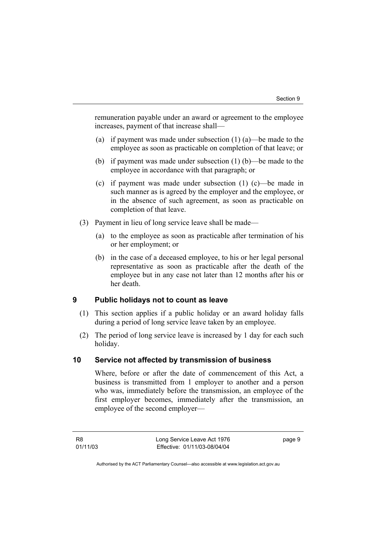remuneration payable under an award or agreement to the employee increases, payment of that increase shall—

- (a) if payment was made under subsection (1) (a)—be made to the employee as soon as practicable on completion of that leave; or
- (b) if payment was made under subsection (1) (b)—be made to the employee in accordance with that paragraph; or
- (c) if payment was made under subsection (1) (c)—be made in such manner as is agreed by the employer and the employee, or in the absence of such agreement, as soon as practicable on completion of that leave.
- (3) Payment in lieu of long service leave shall be made—
	- (a) to the employee as soon as practicable after termination of his or her employment; or
	- (b) in the case of a deceased employee, to his or her legal personal representative as soon as practicable after the death of the employee but in any case not later than 12 months after his or her death.

#### **9 Public holidays not to count as leave**

- (1) This section applies if a public holiday or an award holiday falls during a period of long service leave taken by an employee.
- (2) The period of long service leave is increased by 1 day for each such holiday.

#### **10 Service not affected by transmission of business**

Where, before or after the date of commencement of this Act, a business is transmitted from 1 employer to another and a person who was, immediately before the transmission, an employee of the first employer becomes, immediately after the transmission, an employee of the second employer—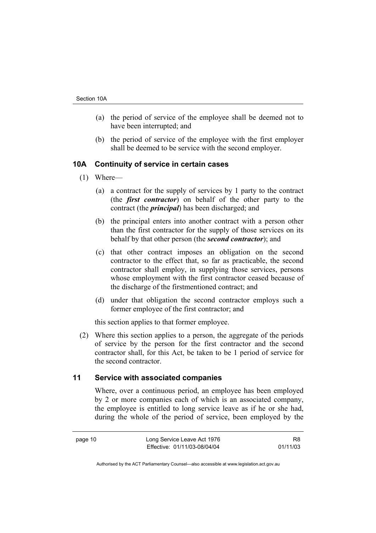- (a) the period of service of the employee shall be deemed not to have been interrupted; and
- (b) the period of service of the employee with the first employer shall be deemed to be service with the second employer.

#### **10A Continuity of service in certain cases**

- (1) Where—
	- (a) a contract for the supply of services by 1 party to the contract (the *first contractor*) on behalf of the other party to the contract (the *principal*) has been discharged; and
	- (b) the principal enters into another contract with a person other than the first contractor for the supply of those services on its behalf by that other person (the *second contractor*); and
	- (c) that other contract imposes an obligation on the second contractor to the effect that, so far as practicable, the second contractor shall employ, in supplying those services, persons whose employment with the first contractor ceased because of the discharge of the firstmentioned contract; and
	- (d) under that obligation the second contractor employs such a former employee of the first contractor; and

this section applies to that former employee.

 (2) Where this section applies to a person, the aggregate of the periods of service by the person for the first contractor and the second contractor shall, for this Act, be taken to be 1 period of service for the second contractor.

#### **11 Service with associated companies**

Where, over a continuous period, an employee has been employed by 2 or more companies each of which is an associated company, the employee is entitled to long service leave as if he or she had, during the whole of the period of service, been employed by the

R8 01/11/03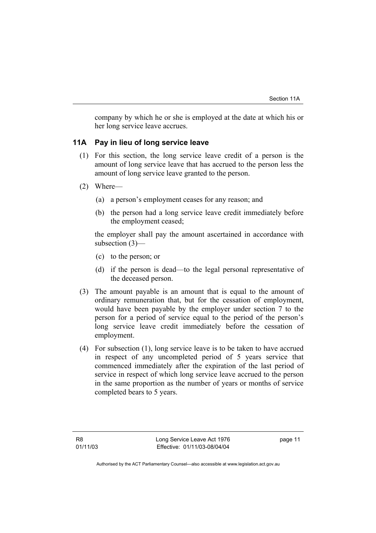company by which he or she is employed at the date at which his or her long service leave accrues.

#### **11A Pay in lieu of long service leave**

- (1) For this section, the long service leave credit of a person is the amount of long service leave that has accrued to the person less the amount of long service leave granted to the person.
- (2) Where—
	- (a) a person's employment ceases for any reason; and
	- (b) the person had a long service leave credit immediately before the employment ceased;

the employer shall pay the amount ascertained in accordance with subsection (3)—

- (c) to the person; or
- (d) if the person is dead—to the legal personal representative of the deceased person.
- (3) The amount payable is an amount that is equal to the amount of ordinary remuneration that, but for the cessation of employment, would have been payable by the employer under section 7 to the person for a period of service equal to the period of the person's long service leave credit immediately before the cessation of employment.
- (4) For subsection (1), long service leave is to be taken to have accrued in respect of any uncompleted period of 5 years service that commenced immediately after the expiration of the last period of service in respect of which long service leave accrued to the person in the same proportion as the number of years or months of service completed bears to 5 years.

page 11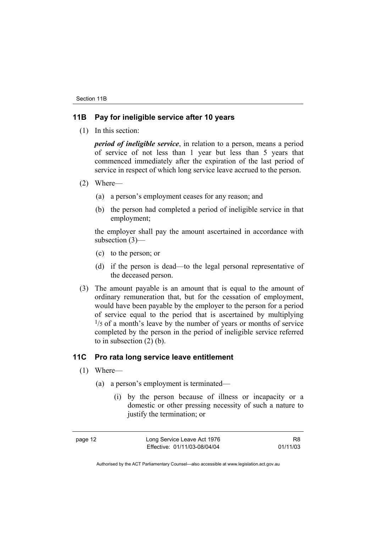#### **11B Pay for ineligible service after 10 years**

(1) In this section:

*period of ineligible service*, in relation to a person, means a period of service of not less than 1 year but less than 5 years that commenced immediately after the expiration of the last period of service in respect of which long service leave accrued to the person.

- (2) Where—
	- (a) a person's employment ceases for any reason; and
	- (b) the person had completed a period of ineligible service in that employment;

the employer shall pay the amount ascertained in accordance with subsection (3)—

- (c) to the person; or
- (d) if the person is dead—to the legal personal representative of the deceased person.
- (3) The amount payable is an amount that is equal to the amount of ordinary remuneration that, but for the cessation of employment, would have been payable by the employer to the person for a period of service equal to the period that is ascertained by multiplying  $1/5$  of a month's leave by the number of years or months of service completed by the person in the period of ineligible service referred to in subsection (2) (b).

#### **11C Pro rata long service leave entitlement**

- (1) Where—
	- (a) a person's employment is terminated—
		- (i) by the person because of illness or incapacity or a domestic or other pressing necessity of such a nature to justify the termination; or

page 12 Long Service Leave Act 1976 Effective: 01/11/03-08/04/04

R8 01/11/03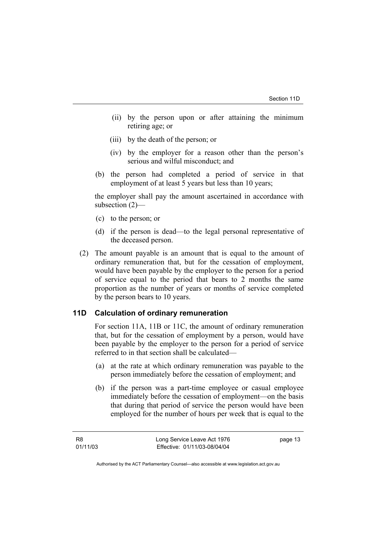- (ii) by the person upon or after attaining the minimum retiring age; or
- (iii) by the death of the person; or
- (iv) by the employer for a reason other than the person's serious and wilful misconduct; and
- (b) the person had completed a period of service in that employment of at least 5 years but less than 10 years;

the employer shall pay the amount ascertained in accordance with subsection (2)—

- (c) to the person; or
- (d) if the person is dead—to the legal personal representative of the deceased person.
- (2) The amount payable is an amount that is equal to the amount of ordinary remuneration that, but for the cessation of employment, would have been payable by the employer to the person for a period of service equal to the period that bears to 2 months the same proportion as the number of years or months of service completed by the person bears to 10 years.

#### **11D Calculation of ordinary remuneration**

For section 11A, 11B or 11C, the amount of ordinary remuneration that, but for the cessation of employment by a person, would have been payable by the employer to the person for a period of service referred to in that section shall be calculated—

- (a) at the rate at which ordinary remuneration was payable to the person immediately before the cessation of employment; and
- (b) if the person was a part-time employee or casual employee immediately before the cessation of employment—on the basis that during that period of service the person would have been employed for the number of hours per week that is equal to the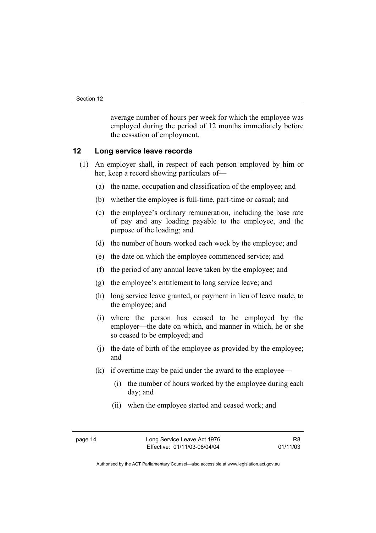average number of hours per week for which the employee was employed during the period of 12 months immediately before the cessation of employment.

#### **12 Long service leave records**

- (1) An employer shall, in respect of each person employed by him or her, keep a record showing particulars of—
	- (a) the name, occupation and classification of the employee; and
	- (b) whether the employee is full-time, part-time or casual; and
	- (c) the employee's ordinary remuneration, including the base rate of pay and any loading payable to the employee, and the purpose of the loading; and
	- (d) the number of hours worked each week by the employee; and
	- (e) the date on which the employee commenced service; and
	- (f) the period of any annual leave taken by the employee; and
	- (g) the employee's entitlement to long service leave; and
	- (h) long service leave granted, or payment in lieu of leave made, to the employee; and
	- (i) where the person has ceased to be employed by the employer—the date on which, and manner in which, he or she so ceased to be employed; and
	- (j) the date of birth of the employee as provided by the employee; and
	- (k) if overtime may be paid under the award to the employee—
		- (i) the number of hours worked by the employee during each day; and
		- (ii) when the employee started and ceased work; and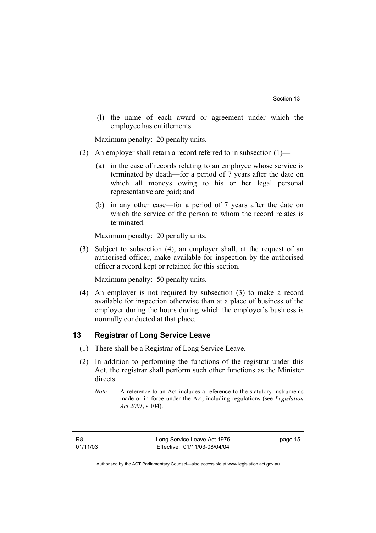(l) the name of each award or agreement under which the employee has entitlements.

Maximum penalty: 20 penalty units.

- (2) An employer shall retain a record referred to in subsection (1)—
	- (a) in the case of records relating to an employee whose service is terminated by death—for a period of 7 years after the date on which all moneys owing to his or her legal personal representative are paid; and
	- (b) in any other case—for a period of 7 years after the date on which the service of the person to whom the record relates is terminated.

Maximum penalty: 20 penalty units.

 (3) Subject to subsection (4), an employer shall, at the request of an authorised officer, make available for inspection by the authorised officer a record kept or retained for this section.

Maximum penalty: 50 penalty units.

 (4) An employer is not required by subsection (3) to make a record available for inspection otherwise than at a place of business of the employer during the hours during which the employer's business is normally conducted at that place.

### **13 Registrar of Long Service Leave**

- (1) There shall be a Registrar of Long Service Leave.
- (2) In addition to performing the functions of the registrar under this Act, the registrar shall perform such other functions as the Minister directs.

*Note* A reference to an Act includes a reference to the statutory instruments made or in force under the Act, including regulations (see *Legislation Act 2001*, s 104).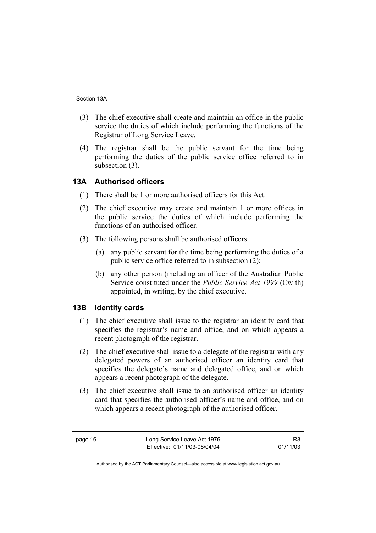- (3) The chief executive shall create and maintain an office in the public service the duties of which include performing the functions of the Registrar of Long Service Leave.
- (4) The registrar shall be the public servant for the time being performing the duties of the public service office referred to in subsection (3).

#### **13A Authorised officers**

- (1) There shall be 1 or more authorised officers for this Act.
- (2) The chief executive may create and maintain 1 or more offices in the public service the duties of which include performing the functions of an authorised officer.
- (3) The following persons shall be authorised officers:
	- (a) any public servant for the time being performing the duties of a public service office referred to in subsection (2);
	- (b) any other person (including an officer of the Australian Public Service constituted under the *Public Service Act 1999* (Cwlth) appointed, in writing, by the chief executive.

#### **13B Identity cards**

- (1) The chief executive shall issue to the registrar an identity card that specifies the registrar's name and office, and on which appears a recent photograph of the registrar.
- (2) The chief executive shall issue to a delegate of the registrar with any delegated powers of an authorised officer an identity card that specifies the delegate's name and delegated office, and on which appears a recent photograph of the delegate.
- (3) The chief executive shall issue to an authorised officer an identity card that specifies the authorised officer's name and office, and on which appears a recent photograph of the authorised officer.

R8 01/11/03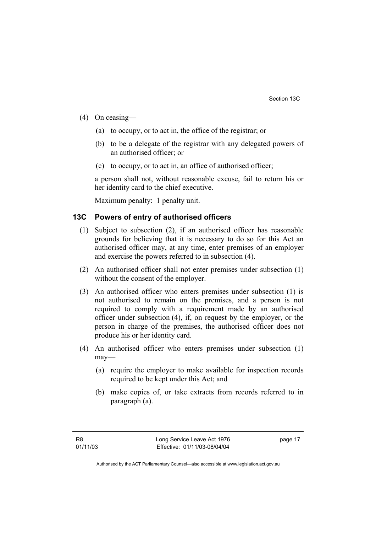- (4) On ceasing—
	- (a) to occupy, or to act in, the office of the registrar; or
	- (b) to be a delegate of the registrar with any delegated powers of an authorised officer; or
	- (c) to occupy, or to act in, an office of authorised officer;

a person shall not, without reasonable excuse, fail to return his or her identity card to the chief executive.

Maximum penalty: 1 penalty unit.

#### **13C Powers of entry of authorised officers**

- (1) Subject to subsection (2), if an authorised officer has reasonable grounds for believing that it is necessary to do so for this Act an authorised officer may, at any time, enter premises of an employer and exercise the powers referred to in subsection (4).
- (2) An authorised officer shall not enter premises under subsection (1) without the consent of the employer.
- (3) An authorised officer who enters premises under subsection (1) is not authorised to remain on the premises, and a person is not required to comply with a requirement made by an authorised officer under subsection (4), if, on request by the employer, or the person in charge of the premises, the authorised officer does not produce his or her identity card.
- (4) An authorised officer who enters premises under subsection (1) may—
	- (a) require the employer to make available for inspection records required to be kept under this Act; and
	- (b) make copies of, or take extracts from records referred to in paragraph (a).

page 17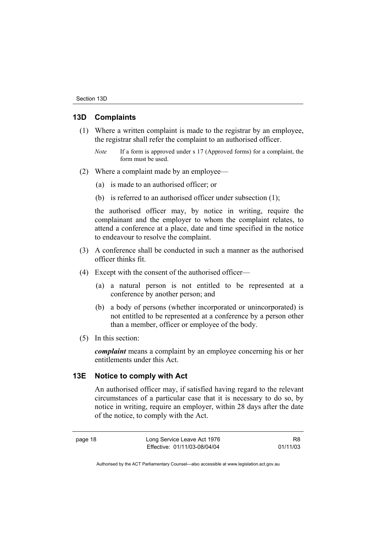#### **13D Complaints**

- (1) Where a written complaint is made to the registrar by an employee, the registrar shall refer the complaint to an authorised officer.
	- *Note* If a form is approved under s 17 (Approved forms) for a complaint, the form must be used.
- (2) Where a complaint made by an employee—
	- (a) is made to an authorised officer; or
	- (b) is referred to an authorised officer under subsection (1);

the authorised officer may, by notice in writing, require the complainant and the employer to whom the complaint relates, to attend a conference at a place, date and time specified in the notice to endeavour to resolve the complaint.

- (3) A conference shall be conducted in such a manner as the authorised officer thinks fit.
- (4) Except with the consent of the authorised officer—
	- (a) a natural person is not entitled to be represented at a conference by another person; and
	- (b) a body of persons (whether incorporated or unincorporated) is not entitled to be represented at a conference by a person other than a member, officer or employee of the body.
- (5) In this section:

*complaint* means a complaint by an employee concerning his or her entitlements under this Act.

#### **13E Notice to comply with Act**

An authorised officer may, if satisfied having regard to the relevant circumstances of a particular case that it is necessary to do so, by notice in writing, require an employer, within 28 days after the date of the notice, to comply with the Act.

R8 01/11/03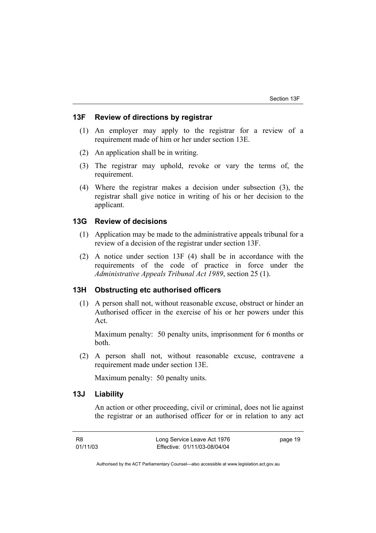#### **13F Review of directions by registrar**

- (1) An employer may apply to the registrar for a review of a requirement made of him or her under section 13E.
- (2) An application shall be in writing.
- (3) The registrar may uphold, revoke or vary the terms of, the requirement.
- (4) Where the registrar makes a decision under subsection (3), the registrar shall give notice in writing of his or her decision to the applicant.

#### **13G Review of decisions**

- (1) Application may be made to the administrative appeals tribunal for a review of a decision of the registrar under section 13F.
- (2) A notice under section 13F (4) shall be in accordance with the requirements of the code of practice in force under the *Administrative Appeals Tribunal Act 1989*, section 25 (1).

#### **13H Obstructing etc authorised officers**

 (1) A person shall not, without reasonable excuse, obstruct or hinder an Authorised officer in the exercise of his or her powers under this Act.

Maximum penalty: 50 penalty units, imprisonment for 6 months or both.

 (2) A person shall not, without reasonable excuse, contravene a requirement made under section 13E.

Maximum penalty: 50 penalty units.

#### **13J Liability**

An action or other proceeding, civil or criminal, does not lie against the registrar or an authorised officer for or in relation to any act

R8 01/11/03 Long Service Leave Act 1976 Effective: 01/11/03-08/04/04 page 19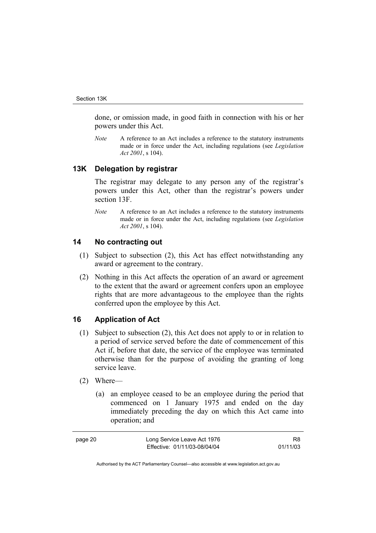done, or omission made, in good faith in connection with his or her powers under this Act.

*Note* A reference to an Act includes a reference to the statutory instruments made or in force under the Act, including regulations (see *Legislation Act 2001*, s 104).

#### **13K Delegation by registrar**

The registrar may delegate to any person any of the registrar's powers under this Act, other than the registrar's powers under section 13F.

*Note* A reference to an Act includes a reference to the statutory instruments made or in force under the Act, including regulations (see *Legislation Act 2001*, s 104).

#### **14 No contracting out**

- (1) Subject to subsection (2), this Act has effect notwithstanding any award or agreement to the contrary.
- (2) Nothing in this Act affects the operation of an award or agreement to the extent that the award or agreement confers upon an employee rights that are more advantageous to the employee than the rights conferred upon the employee by this Act.

#### **16 Application of Act**

- (1) Subject to subsection (2), this Act does not apply to or in relation to a period of service served before the date of commencement of this Act if, before that date, the service of the employee was terminated otherwise than for the purpose of avoiding the granting of long service leave.
- (2) Where—
	- (a) an employee ceased to be an employee during the period that commenced on 1 January 1975 and ended on the day immediately preceding the day on which this Act came into operation; and

| page 20 | Long Service Leave Act 1976  | R8       |
|---------|------------------------------|----------|
|         | Effective: 01/11/03-08/04/04 | 01/11/03 |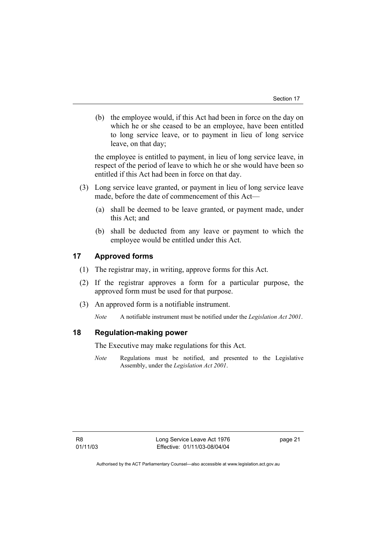(b) the employee would, if this Act had been in force on the day on which he or she ceased to be an employee, have been entitled to long service leave, or to payment in lieu of long service leave, on that day;

the employee is entitled to payment, in lieu of long service leave, in respect of the period of leave to which he or she would have been so entitled if this Act had been in force on that day.

- (3) Long service leave granted, or payment in lieu of long service leave made, before the date of commencement of this Act—
	- (a) shall be deemed to be leave granted, or payment made, under this Act; and
	- (b) shall be deducted from any leave or payment to which the employee would be entitled under this Act.

### **17 Approved forms**

- (1) The registrar may, in writing, approve forms for this Act.
- (2) If the registrar approves a form for a particular purpose, the approved form must be used for that purpose.
- (3) An approved form is a notifiable instrument.

*Note* A notifiable instrument must be notified under the *Legislation Act 2001*.

#### **18 Regulation-making power**

The Executive may make regulations for this Act.

*Note* Regulations must be notified, and presented to the Legislative Assembly, under the *Legislation Act 2001*.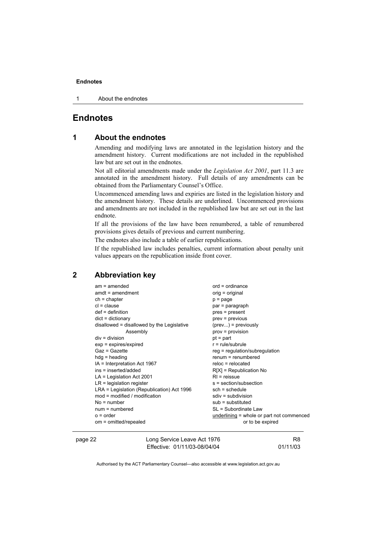1 About the endnotes

#### **Endnotes**

#### **1 About the endnotes**

Amending and modifying laws are annotated in the legislation history and the amendment history. Current modifications are not included in the republished law but are set out in the endnotes.

Not all editorial amendments made under the *Legislation Act 2001*, part 11.3 are annotated in the amendment history. Full details of any amendments can be obtained from the Parliamentary Counsel's Office.

Uncommenced amending laws and expiries are listed in the legislation history and the amendment history. These details are underlined. Uncommenced provisions and amendments are not included in the republished law but are set out in the last endnote.

If all the provisions of the law have been renumbered, a table of renumbered provisions gives details of previous and current numbering.

The endnotes also include a table of earlier republications.

If the republished law includes penalties, current information about penalty unit values appears on the republication inside front cover.

#### **2 Abbreviation key**

| $am = amended$                             | $ord = ordinance$                         |
|--------------------------------------------|-------------------------------------------|
| $amdt = amendment$                         | orig = original                           |
| $ch = chapter$                             | $p = page$                                |
| $cl = clause$                              | par = paragraph                           |
| $def = definition$                         | pres = present                            |
| $dict = dictionary$                        | $prev = previous$                         |
| disallowed = disallowed by the Legislative | $(\text{prev})$ = previously              |
| Assembly                                   | $prov = provision$                        |
| $div = division$                           | $pt = part$                               |
| $exp = expires/expired$                    | $r = rule/subrule$                        |
| Gaz = Gazette                              | $reg = regulation/subregulation$          |
| $hdg =$ heading                            | $renum = renumbered$                      |
| $IA = Interpretation Act 1967$             | $reloc = relocated$                       |
| ins = inserted/added                       | $R[X]$ = Republication No                 |
| $LA =$ Legislation Act 2001                | $RI =$ reissue                            |
| $LR =$ legislation register                | s = section/subsection                    |
| LRA = Legislation (Republication) Act 1996 | $sch = schedule$                          |
| $mod = modified / modified$                | $sdiv = subdivision$                      |
| $No = number$                              | $sub =$ substituted                       |
| $num = numbered$                           | SL = Subordinate Law                      |
| $o = order$                                | underlining = whole or part not commenced |
| om = omitted/repealed                      | or to be expired                          |
|                                            |                                           |

page 22 **Long Service Leave Act 1976** Effective: 01/11/03-08/04/04

R8 01/11/03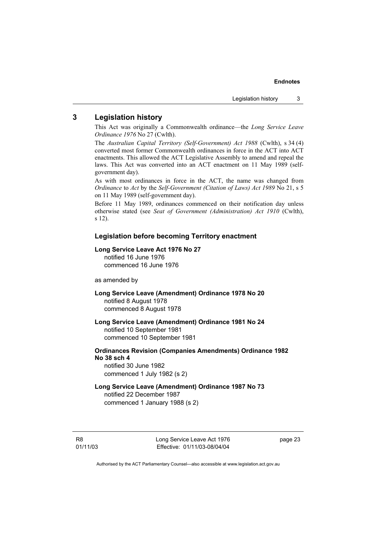#### **3 Legislation history**

This Act was originally a Commonwealth ordinance—the *Long Service Leave Ordinance 1976* No 27 (Cwlth).

The *Australian Capital Territory (Self-Government) Act 1988* (Cwlth), s 34 (4) converted most former Commonwealth ordinances in force in the ACT into ACT enactments. This allowed the ACT Legislative Assembly to amend and repeal the laws. This Act was converted into an ACT enactment on 11 May 1989 (selfgovernment day).

As with most ordinances in force in the ACT, the name was changed from *Ordinance* to *Act* by the *Self-Government (Citation of Laws) Act 1989* No 21, s 5 on 11 May 1989 (self-government day).

Before 11 May 1989, ordinances commenced on their notification day unless otherwise stated (see *Seat of Government (Administration) Act 1910* (Cwlth), s 12).

#### **Legislation before becoming Territory enactment**

#### **Long Service Leave Act 1976 No 27**

notified 16 June 1976 commenced 16 June 1976

as amended by

- **Long Service Leave (Amendment) Ordinance 1978 No 20**  notified 8 August 1978 commenced 8 August 1978
- **Long Service Leave (Amendment) Ordinance 1981 No 24**  notified 10 September 1981 commenced 10 September 1981
- **Ordinances Revision (Companies Amendments) Ordinance 1982 No 38 sch 4**  notified 30 June 1982

commenced 1 July 1982 (s 2)

**Long Service Leave (Amendment) Ordinance 1987 No 73**  notified 22 December 1987 commenced 1 January 1988 (s 2)

Long Service Leave Act 1976 Effective: 01/11/03-08/04/04 page 23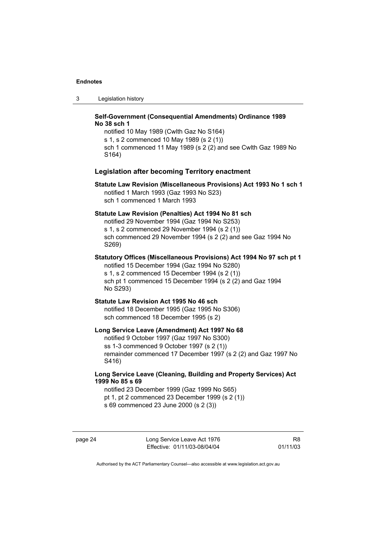3 Legislation history

#### **Self-Government (Consequential Amendments) Ordinance 1989 No 38 sch 1**

notified 10 May 1989 (Cwlth Gaz No S164) s 1, s 2 commenced 10 May 1989 (s 2 (1)) sch 1 commenced 11 May 1989 (s 2 (2) and see Cwlth Gaz 1989 No S164)

#### **Legislation after becoming Territory enactment**

#### **Statute Law Revision (Miscellaneous Provisions) Act 1993 No 1 sch 1**  notified 1 March 1993 (Gaz 1993 No S23) sch 1 commenced 1 March 1993

#### **Statute Law Revision (Penalties) Act 1994 No 81 sch**

notified 29 November 1994 (Gaz 1994 No S253) s 1, s 2 commenced 29 November 1994 (s 2 (1)) sch commenced 29 November 1994 (s 2 (2) and see Gaz 1994 No S269)

**Statutory Offices (Miscellaneous Provisions) Act 1994 No 97 sch pt 1**  notified 15 December 1994 (Gaz 1994 No S280) s 1, s 2 commenced 15 December 1994 (s 2 (1)) sch pt 1 commenced 15 December 1994 (s 2 (2) and Gaz 1994 No S293)

### **Statute Law Revision Act 1995 No 46 sch**

notified 18 December 1995 (Gaz 1995 No S306) sch commenced 18 December 1995 (s 2)

#### **Long Service Leave (Amendment) Act 1997 No 68**

notified 9 October 1997 (Gaz 1997 No S300) ss 1-3 commenced 9 October 1997 (s 2 (1)) remainder commenced 17 December 1997 (s 2 (2) and Gaz 1997 No S416)

#### **Long Service Leave (Cleaning, Building and Property Services) Act 1999 No 85 s 69**

notified 23 December 1999 (Gaz 1999 No S65) pt 1, pt 2 commenced 23 December 1999 (s 2 (1)) s 69 commenced 23 June 2000 (s 2 (3))

page 24 Long Service Leave Act 1976 Effective: 01/11/03-08/04/04

R8 01/11/03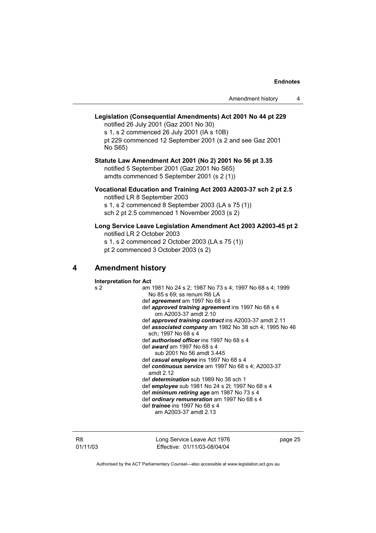| Amendment history |  |
|-------------------|--|
|-------------------|--|

#### **Legislation (Consequential Amendments) Act 2001 No 44 pt 229**  notified 26 July 2001 (Gaz 2001 No 30)

s 1, s 2 commenced 26 July 2001 (IA s 10B) pt 229 commenced 12 September 2001 (s 2 and see Gaz 2001 No S65)

#### **Statute Law Amendment Act 2001 (No 2) 2001 No 56 pt 3.35**  notified 5 September 2001 (Gaz 2001 No S65) amdts commenced 5 September 2001 (s 2 (1))

**Vocational Education and Training Act 2003 A2003-37 sch 2 pt 2.5**  notified LR 8 September 2003

s 1, s 2 commenced 8 September 2003 (LA s 75 (1)) sch 2 pt 2.5 commenced 1 November 2003 (s 2)

### **Long Service Leave Legislation Amendment Act 2003 A2003-45 pt 2**

notified LR 2 October 2003

s 1, s 2 commenced 2 October 2003 (LA s 75 (1))

pt 2 commenced 3 October 2003 (s 2)

### **4 Amendment history**

**Interpretation for Act**  s 2 am 1981 No 24 s 2; 1987 No 73 s 4; 1997 No 68 s 4; 1999 No 85 s 69; ss renum R6 LA def *agreement* am 1997 No 68 s 4 def *approved training agreement* ins 1997 No 68 s 4 om A2003-37 amdt 2.10 def *approved training contract* ins A2003-37 amdt 2.11 def *associated company* am 1982 No 38 sch 4; 1995 No 46 sch; 1997 No 68 s 4 def *authorised officer* ins 1997 No 68 s 4 def *award* am 1997 No 68 s 4 sub 2001 No 56 amdt 3.445 def *casual employee* ins 1997 No 68 s 4 def *continuous service* am 1997 No 68 s 4; A2003-37 amdt 2.12 def *determination* sub 1989 No 38 sch 1 def *employee* sub 1981 No 24 s 2l; 1997 No 68 s 4 def *minimum retiring age* am 1987 No 73 s 4 def *ordinary remuneration* am 1997 No 68 s 4 def *trainee* ins 1997 No 68 s 4 am A2003-37 amdt 2.13

R8 01/11/03 Long Service Leave Act 1976 Effective: 01/11/03-08/04/04

page 25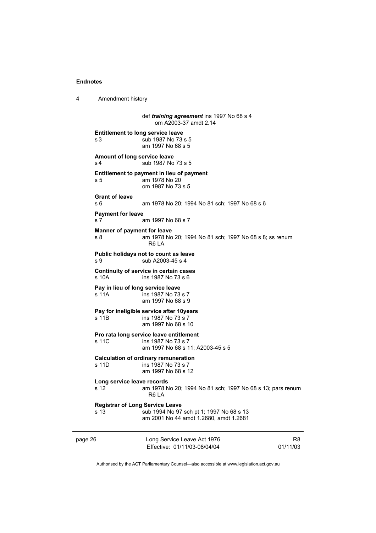4 Amendment history

page 26 Long Service Leave Act 1976 Effective: 01/11/03-08/04/04 R8 01/11/03 def *training agreement* ins 1997 No 68 s 4 om A2003-37 amdt 2.14 **Entitlement to long service leave**  s 3 sub 1987 No 73 s 5 am 1997 No 68 s 5 **Amount of long service leave**  s 4 sub 1987 No 73 s 5 **Entitlement to payment in lieu of payment**  s 5 am 1978 No 20 om 1987 No 73 s 5 **Grant of leave**  s 6 am 1978 No 20; 1994 No 81 sch; 1997 No 68 s 6 **Payment for leave**  s 7 am 1997 No 68 s 7 **Manner of payment for leave**  s 8 am 1978 No 20; 1994 No 81 sch; 1997 No 68 s 8; ss renum R6 LA **Public holidays not to count as leave**  s 9 sub A2003-45 s 4 **Continuity of service in certain cases**  s 10A ins 1987 No 73 s 6 **Pay in lieu of long service leave**  s 11A ins 1987 No 73 s 7 am 1997 No 68 s 9 **Pay for ineligible service after 10years**  s 11B ins 1987 No 73 s 7 am 1997 No 68 s 10 **Pro rata long service leave entitlement**  s 11C ins 1987 No 73 s 7 am 1997 No 68 s 11; A2003-45 s 5 **Calculation of ordinary remuneration**   $ins$  1987 No 73 s 7 am 1997 No 68 s 12 **Long service leave records**  s 12 am 1978 No 20; 1994 No 81 sch; 1997 No 68 s 13; pars renum R6 LA **Registrar of Long Service Leave**  s 13 sub 1994 No 97 sch pt 1; 1997 No 68 s 13 am 2001 No 44 amdt 1.2680, amdt 1.2681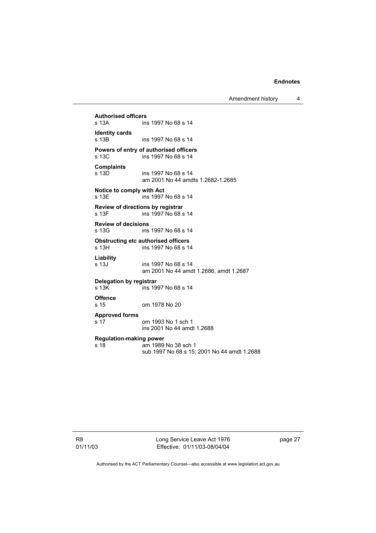Amendment history 4

**Authorised officers**  ins 1997 No 68 s 14 **Identity cards**  ins 1997 No 68 s 14 **Powers of entry of authorised officers**  ins 1997 No 68 s 14 **Complaints**  s 13D ins 1997 No 68 s 14 am 2001 No 44 amdts 1.2682-1.2685 **Notice to comply with Act**  s 13E ins 1997 No 68 s 14 **Review of directions by registrar**  ins 1997 No 68 s 14 **Review of decisions**  s 13G ins 1997 No 68 s 14 **Obstructing etc authorised officers**<br>s 13H ins 1997 No 68 s 1 ins 1997 No 68 s 14 **Liability**  s 13J ins 1997 No 68 s 14 am 2001 No 44 amdt 1.2686, amdt 1.2687 **Delegation by registrar**   $\overline{\phantom{1}}$  ins 1997 No 68 s 14 **Offence**  s 15 om 1978 No 20 **Approved forms**  s 17 om 1993 No 1 sch 1 ins 2001 No 44 amdt 1.2688 **Regulation-making power**  am 1989 No 38 sch 1 sub 1997 No 68 s 15; 2001 No 44 amdt 1.2688

R8 01/11/03 Long Service Leave Act 1976 Effective: 01/11/03-08/04/04

page 27